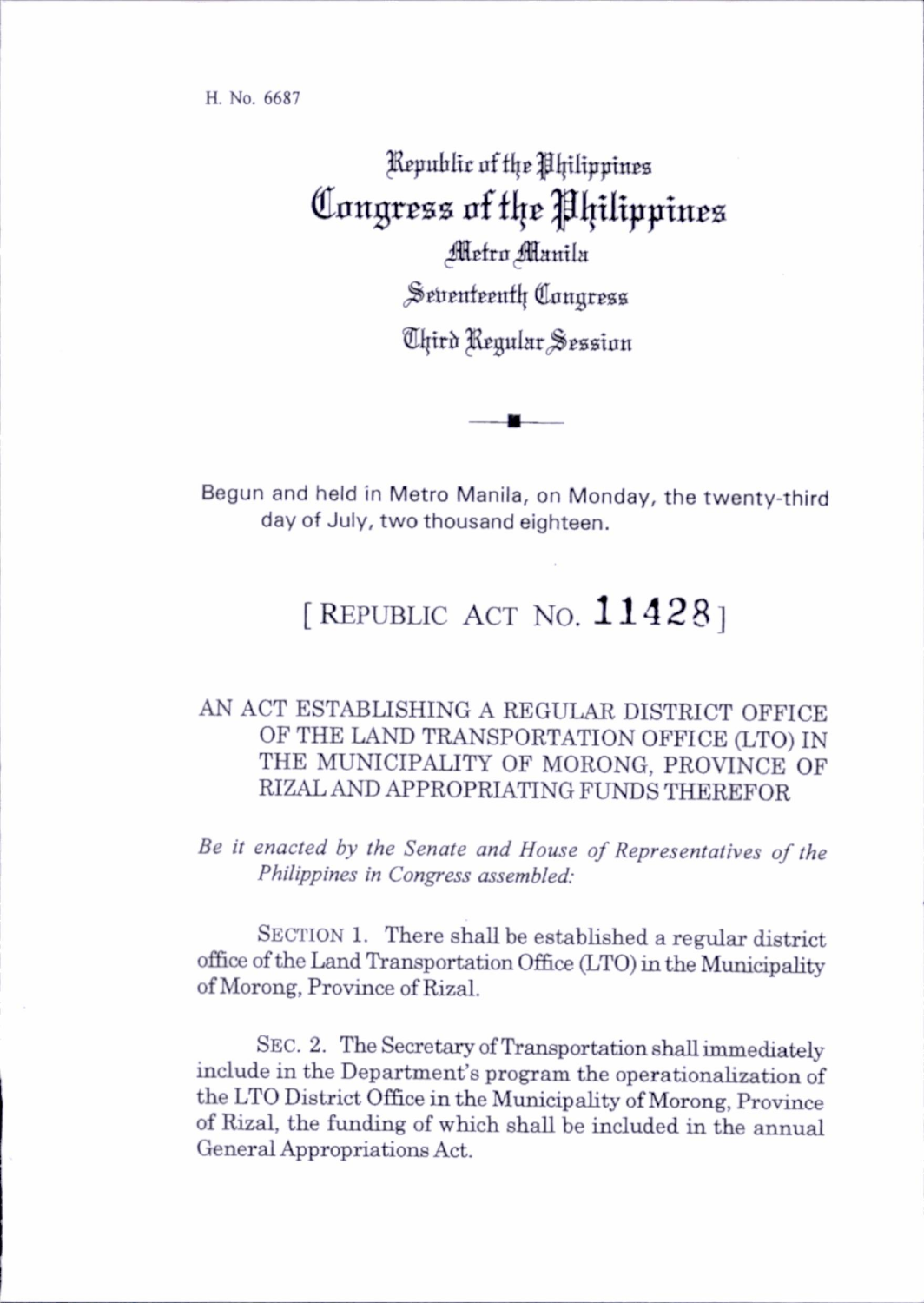Republic of the Philippines Congress of the Philippines **Metro Manila** Seventeenth Congress Chird Regular Session

Begun and held in Metro Manila, on Monday, the twenty-third day of July, two thousand eighteen.

## [REPUBLIC ACT NO. 11428]

## AN ACT ESTABLISHING A REGULAR DISTRICT OFFICE OF THE LAND TRANSPORTATION OFFICE (LTO) IN THE MUNICIPALITY OF MORONG, PROVINCE OF RIZAL AND APPROPRIATING FUNDS THEREFOR

Be it enacted by the Senate and House of Representatives of the Philippines in Congress assembled:

SECTION 1. There shall be established a regular district office of the Land Transportation Office (LTO) in the Municipahty of Morong, Province of Rizal.

SEC. 2. The Secretary of Transportation shall immediately include in the Department's program the operationalization of the LTO District Office in the Municipahty of Morong, Province of Rizal, the funding of which shall be included in the annual General Appropriations Act.